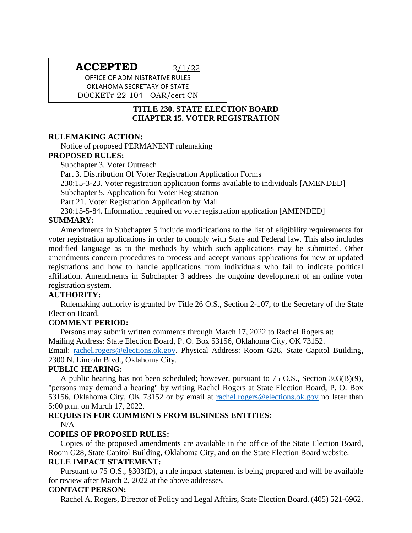# **ACCEPTED** 2/1/22

OFFICE OF ADMINISTRATIVE RULES OKLAHOMA SECRETARY OF STATE DOCKET# 22-104 OAR/cert CN

# **TITLE 230. STATE ELECTION BOARD CHAPTER 15. VOTER REGISTRATION**

#### **RULEMAKING ACTION:**

Notice of proposed PERMANENT rulemaking

## **PROPOSED RULES:**

Subchapter 3. Voter Outreach

Part 3. Distribution Of Voter Registration Application Forms

230:15-3-23. Voter registration application forms available to individuals [AMENDED]

Subchapter 5. Application for Voter Registration

Part 21. Voter Registration Application by Mail

230:15-5-84. Information required on voter registration application [AMENDED]

## **SUMMARY:**

Amendments in Subchapter 5 include modifications to the list of eligibility requirements for voter registration applications in order to comply with State and Federal law. This also includes modified language as to the methods by which such applications may be submitted. Other amendments concern procedures to process and accept various applications for new or updated registrations and how to handle applications from individuals who fail to indicate political affiliation. Amendments in Subchapter 3 address the ongoing development of an online voter registration system.

## **AUTHORITY:**

Rulemaking authority is granted by Title 26 O.S., Section 2-107, to the Secretary of the State Election Board.

#### **COMMENT PERIOD:**

Persons may submit written comments through March 17, 2022 to Rachel Rogers at: Mailing Address: State Election Board, P. O. Box 53156, Oklahoma City, OK 73152. Email: [rachel.rogers@elections.ok.gov.](mailto:rachel.rogers@elections.ok.gov) Physical Address: Room G28, State Capitol Building, 2300 N. Lincoln Blvd., Oklahoma City.

#### **PUBLIC HEARING:**

A public hearing has not been scheduled; however, pursuant to 75 O.S., Section 303(B)(9), "persons may demand a hearing" by writing Rachel Rogers at State Election Board, P. O. Box 53156, Oklahoma City, OK 73152 or by email at [rachel.rogers@elections.ok.gov](mailto:rachel.rogers@elections.ok.gov) no later than 5:00 p.m. on March 17, 2022.

#### **REQUESTS FOR COMMENTS FROM BUSINESS ENTITIES:**

 $N/A$ 

## **COPIES OF PROPOSED RULES:**

Copies of the proposed amendments are available in the office of the State Election Board, Room G28, State Capitol Building, Oklahoma City, and on the State Election Board website. **RULE IMPACT STATEMENT:**

Pursuant to 75 O.S., §303(D), a rule impact statement is being prepared and will be available for review after March 2, 2022 at the above addresses.

#### **CONTACT PERSON:**

Rachel A. Rogers, Director of Policy and Legal Affairs, State Election Board. (405) 521-6962.